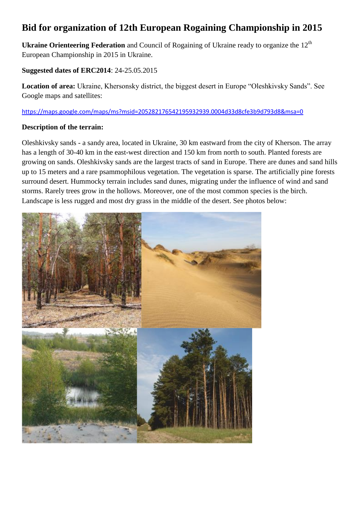# **Bid for organization of 12th European Rogaining Championship in 2015**

**Ukraine Orienteering Federation** and Council of Rogaining of Ukraine ready to organize the 12<sup>th</sup> European Championship in 2015 in Ukraine.

## **Suggested dates of ERC2014**: 24-25.05.2015

**Location of area:** Ukraine, Khersonsky district, the biggest desert in Europe "Oleshkivsky Sands". See Google maps and satellites:

<https://maps.google.com/maps/ms?msid=205282176542195932939.0004d33d8cfe3b9d793d8&msa=0>

#### **Description of the terrain:**

Oleshkivsky sands - a sandy area, located in Ukraine, 30 km eastward from the city of Kherson. The array has a length of 30-40 km in the east-west direction and 150 km from north to south. Planted forests are growing on sands. Oleshkivsky sands are the largest tracts of sand in Europe. There are dunes and sand hills up to 15 meters and a rare psammophilous vegetation. The vegetation is sparse. The artificially pine forests surround desert. Hummocky terrain includes sand dunes, migrating under the influence of wind and sand storms. Rarely trees grow in the hollows. Moreover, one of the most common species is the birch. Landscape is less rugged and most dry grass in the middle of the desert. See photos below:

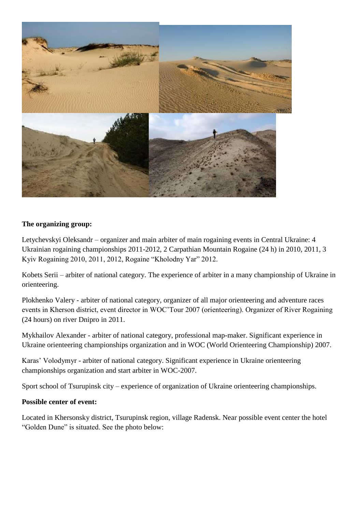

#### **The organizing group:**

Letychevskyi Oleksandr – organizer and main arbiter of main rogaining events in Central Ukraine: 4 Ukrainian rogaining championships 2011-2012, 2 Carpathian Mountain Rogaine (24 h) in 2010, 2011, 3 Kyiv Rogaining 2010, 2011, 2012, Rogaine "Kholodny Yar" 2012.

Kobets Serii – arbiter of national category. The experience of arbiter in a many championship of Ukraine in orienteering.

Plokhenko Valery - arbiter of national category, organizer of all major orienteering and adventure races events in Kherson district, event director in WOC'Tour 2007 (orienteering). Organizer of River Rogaining (24 hours) on river Dnipro in 2011.

Mykhailov Alexander - arbiter of national category, professional map-maker. Significant experience in Ukraine orienteering championships organization and in WOC (World Orienteering Championship) 2007.

Karas' Volodymyr - arbiter of national category. Significant experience in Ukraine orienteering championships organization and start arbiter in WOC-2007.

Sport school of Tsurupinsk city – experience of organization of Ukraine orienteering championships.

#### **Possible center of event:**

Located in Khersonsky district, Tsurupinsk region, village Radensk. Near possible event center the hotel "Golden Dune" is situated. See the photo below: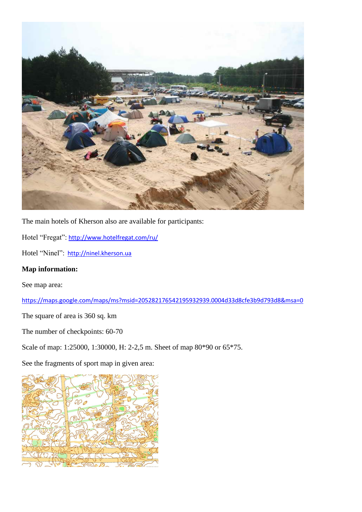

The main hotels of Kherson also are available for participants:

Hotel "Fregat": <http://www.hotelfregat.com/ru/>

Hotel "Ninel": [http://ninel.kherson.ua](http://ninel.kherson.ua/)

#### **Map information:**

See map area:

<https://maps.google.com/maps/ms?msid=205282176542195932939.0004d33d8cfe3b9d793d8&msa=0>

The square of area is 360 sq. km

The number of checkpoints: 60-70

Scale of map: 1:25000, 1:30000, H: 2-2,5 m. Sheet of map 80\*90 or 65\*75.

See the fragments of sport map in given area: